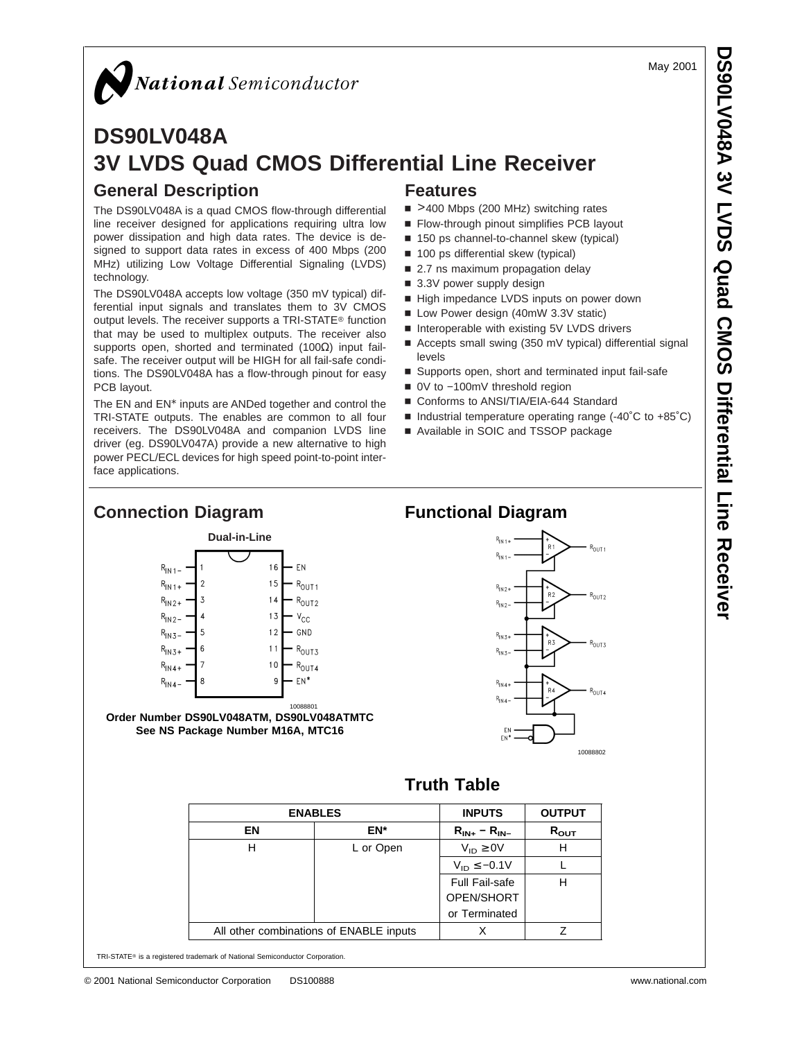#### May 2001

# National Semiconductor

# **DS90LV048A 3V LVDS Quad CMOS Differential Line Receiver General Description Features**

The DS90LV048A is a quad CMOS flow-through differential line receiver designed for applications requiring ultra low power dissipation and high data rates. The device is designed to support data rates in excess of 400 Mbps (200 MHz) utilizing Low Voltage Differential Signaling (LVDS) technology.

The DS90LV048A accepts low voltage (350 mV typical) differential input signals and translates them to 3V CMOS output levels. The receiver supports a TRI-STATE® function that may be used to multiplex outputs. The receiver also supports open, shorted and terminated (100Ω) input failsafe. The receiver output will be HIGH for all fail-safe conditions. The DS90LV048A has a flow-through pinout for easy PCB layout.

The EN and EN\* inputs are ANDed together and control the TRI-STATE outputs. The enables are common to all four receivers. The DS90LV048A and companion LVDS line driver (eg. DS90LV047A) provide a new alternative to high power PECL/ECL devices for high speed point-to-point interface applications.

**Connection Diagram**

- >400 Mbps (200 MHz) switching rates
- Flow-through pinout simplifies PCB layout
- 150 ps channel-to-channel skew (typical)
- 100 ps differential skew (typical)
- 2.7 ns maximum propagation delay
- $\blacksquare$  3.3V power supply design
- High impedance LVDS inputs on power down
- Low Power design (40mW 3.3V static)
- Interoperable with existing 5V LVDS drivers
- Accepts small swing (350 mV typical) differential signal levels
- Supports open, short and terminated input fail-safe
- 0V to -100mV threshold region
- Conforms to ANSI/TIA/EIA-644 Standard
- $\blacksquare$  Industrial temperature operating range (-40°C to +85°C)
- Available in SOIC and TSSOP package



# **Functional Diagram**



#### ENABLES | INPUTS | OUTPUT **EN**  $\begin{array}{|c|c|c|c|c|c|} \hline \text{EN*} & \text{R}_{\text{IN+}} - \text{R}_{\text{IN-}} & \text{R}_{\text{OUT}} \hline \end{array}$ H  $L$  or Open  $V_{ID} \ge 0V$  H  $V_{ID} \le -0.1V$  L Full Fail-safe OPEN/SHORT or Terminated H All other combinations of ENABLE inputs  $\begin{array}{ccc} \vert & \chi & \vert & \mathcal{Z} \end{array}$

**Truth Table**

TRI-STATE® is a registered trademark of National Semiconductor Corporation.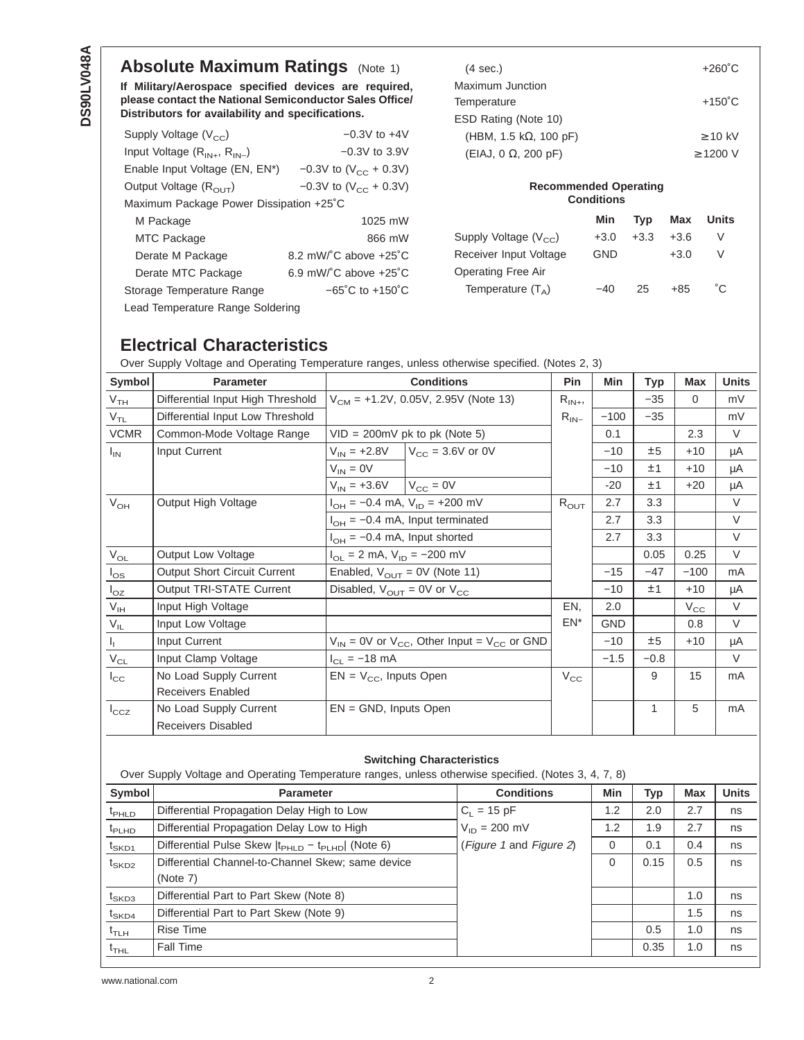# **Absolute Maximum Ratings** [\(Note 1\)](#page-2-0)

**If Military/Aerospace specified devices are required, please contact the National Semiconductor Sales Office/ Distributors for availability and specifications.**

| Supply Voltage $(V_{cc})$               | $-0.3V$ to $+4V$                            |  |  |  |
|-----------------------------------------|---------------------------------------------|--|--|--|
| Input Voltage $(R_{IN+}, R_{IN-})$      | $-0.3V$ to 3.9V                             |  |  |  |
| Enable Input Voltage (EN, EN*)          | $-0.3V$ to (V <sub>CC</sub> + 0.3V)         |  |  |  |
| Output Voltage $(R_{\text{OUT}})$       | $-0.3V$ to (V <sub>CC</sub> + 0.3V)         |  |  |  |
| Maximum Package Power Dissipation +25°C |                                             |  |  |  |
| M Package                               | 1025 mW                                     |  |  |  |
| <b>MTC Package</b>                      | 866 mW                                      |  |  |  |
| Derate M Package                        | 8.2 mW/ $^{\circ}$ C above +25 $^{\circ}$ C |  |  |  |
| Derate MTC Package                      | 6.9 mW/ $^{\circ}$ C above +25 $^{\circ}$ C |  |  |  |
| Storage Temperature Range               | $-65^{\circ}$ C to $+150^{\circ}$ C         |  |  |  |
| Lead Temperature Range Soldering        |                                             |  |  |  |

| $(4 \text{ sec.})$             | $+260^{\circ}$ C |
|--------------------------------|------------------|
| Maximum Junction               |                  |
| Temperature                    | $+150^{\circ}$ C |
| ESD Rating (Note 10)           |                  |
| (HBM, 1.5 k $\Omega$ , 100 pF) | $\geq$ 10 kV     |
| $(EIAJ, 0 \Omega, 200 pF)$     | $> 1200$ V       |
|                                |                  |

# **Recommended Operating Conditions**

|                           | <b>Min</b> | Typ    | Max    | <b>Units</b> |
|---------------------------|------------|--------|--------|--------------|
| Supply Voltage $(V_{CC})$ | $+3.0$     | $+3.3$ | $+3.6$ | V            |
| Receiver Input Voltage    | <b>GND</b> |        | $+3.0$ | V            |
| Operating Free Air        |            |        |        |              |
| Temperature $(T_A)$       | $-40$      | 25     | $+85$  | ഀ౧           |

## **Electrical Characteristics**

Over Supply Voltage and Operating Temperature ranges, unless otherwise specified. (Notes [2](#page-2-0), [3\)](#page-2-0)

| Symbol                     | <b>Parameter</b>                  | <b>Conditions</b>                                         | <b>Pin</b>   | Min        | <b>Typ</b> | <b>Max</b>   | <b>Units</b> |
|----------------------------|-----------------------------------|-----------------------------------------------------------|--------------|------------|------------|--------------|--------------|
| V <sub>TH</sub>            | Differential Input High Threshold | $V_{CM}$ = +1.2V, 0.05V, 2.95V (Note 13)                  | $R_{IN+},$   |            | $-35$      | $\Omega$     | mV           |
| $V_{TL}$                   | Differential Input Low Threshold  |                                                           | $R_{IN-}$    | $-100$     | $-35$      |              | mV           |
| <b>VCMR</b>                | Common-Mode Voltage Range         | $VID = 200mV$ pk to pk (Note 5)                           |              | 0.1        |            | 2.3          | $\vee$       |
| $I_{IN}$                   | Input Current                     | $V_{\text{CC}}$ = 3.6V or 0V<br>$V_{IN}$ = +2.8V          |              | $-10$      | ±5         | $+10$        | μA           |
|                            |                                   | $V_{IN} = 0V$                                             |              | $-10$      | ±1         | $+10$        | μA           |
|                            |                                   | $V_{IN}$ = +3.6V $V_{CC}$ = 0V                            |              | $-20$      | ±1         | $+20$        | μA           |
| $V_{OH}$                   | Output High Voltage               | $I_{OH} = -0.4$ mA, $V_{ID} = +200$ mV                    | $R_{OUT}$    | 2.7        | 3.3        |              | V            |
|                            |                                   | $I_{OH} = -0.4$ mA, Input terminated                      |              | 2.7        | 3.3        |              | V            |
|                            |                                   | $I_{OH} = -0.4$ mA, Input shorted                         |              | 2.7        | 3.3        |              | V            |
| $\rm V_{OL}$               | <b>Output Low Voltage</b>         | $I_{OL} = 2$ mA, $V_{ID} = -200$ mV                       |              |            | 0.05       | 0.25         | V            |
| $I_{OS}$                   | Output Short Circuit Current      | Enabled, $V_{\text{OUT}} = 0V$ (Note 11)                  |              | $-15$      | $-47$      | $-100$       | mA           |
| $I_{OZ}$                   | Output TRI-STATE Current          | Disabled, $V_{\text{OUT}} = 0V$ or $V_{\text{CC}}$        |              | $-10$      | ±1         | $+10$        | μA           |
| $V_{IH}$                   | Input High Voltage                |                                                           | EN,          | 2.0        |            | $V_{\rm CC}$ | V            |
| $\mathsf{V}_{\mathsf{IL}}$ | Input Low Voltage                 |                                                           | EN*          | <b>GND</b> |            | 0.8          | V            |
| $\mathbf{I}_{\mathbf{L}}$  | Input Current                     | $V_{IN}$ = 0V or $V_{CC}$ , Other Input = $V_{CC}$ or GND |              | $-10$      | ±5         | $+10$        | μA           |
| $\rm V_{CL}$               | Input Clamp Voltage               | $I_{CL} = -18$ mA                                         |              | $-1.5$     | $-0.8$     |              | V            |
| $I_{\rm CC}$               | No Load Supply Current            | $EN = V_{CC}$ , Inputs Open                               | $V_{\rm CC}$ |            | 9          | 15           | mA           |
|                            | Receivers Enabled                 |                                                           |              |            |            |              |              |
| $I_{\rm CCZ}$              | No Load Supply Current            | $EN = GND$ , Inputs Open                                  |              |            | 1          | 5            | mA           |
|                            | <b>Receivers Disabled</b>         |                                                           |              |            |            |              |              |
|                            |                                   |                                                           |              |            |            |              |              |

#### **Switching Characteristics**

Over Supply Voltage and Operating Temperature ranges, unless otherwise specified. (Notes [3](#page-2-0), [4](#page-2-0), [7](#page-2-0), [8\)](#page-2-0)

| Symbol              | <b>Parameter</b>                                         | <b>Conditions</b>       | Min      | Typ  | <b>Max</b> | <b>Units</b> |
|---------------------|----------------------------------------------------------|-------------------------|----------|------|------------|--------------|
| $t_{\text{PHLD}}$   | Differential Propagation Delay High to Low               | $C_1 = 15$ pF           | 1.2      | 2.0  | 2.7        | ns           |
| $t_{\sf PLHD}$      | Differential Propagation Delay Low to High               | $V_{ID} = 200$ mV       | 1.2      | 1.9  | 2.7        | ns           |
| $t_{\mathsf{SKD1}}$ | Differential Pulse Skew $ t_{PHLD} - t_{PLHD} $ (Note 6) | (Figure 1 and Figure 2) | 0        | 0.1  | 0.4        | ns           |
| $t_{\rm SKD2}$      | Differential Channel-to-Channel Skew; same device        |                         | $\Omega$ | 0.15 | 0.5        | ns           |
|                     | (Note 7)                                                 |                         |          |      |            |              |
| $t_{SKD3}$          | Differential Part to Part Skew (Note 8)                  |                         |          |      | 1.0        | ns           |
| $t_{\mathsf{SKD4}}$ | Differential Part to Part Skew (Note 9)                  |                         |          |      | 1.5        | ns           |
| $t_{\text{TLH}}$    | Rise Time                                                |                         |          | 0.5  | 1.0        | ns           |
| $t_{THL}$           | Fall Time                                                |                         |          | 0.35 | 1.0        | ns           |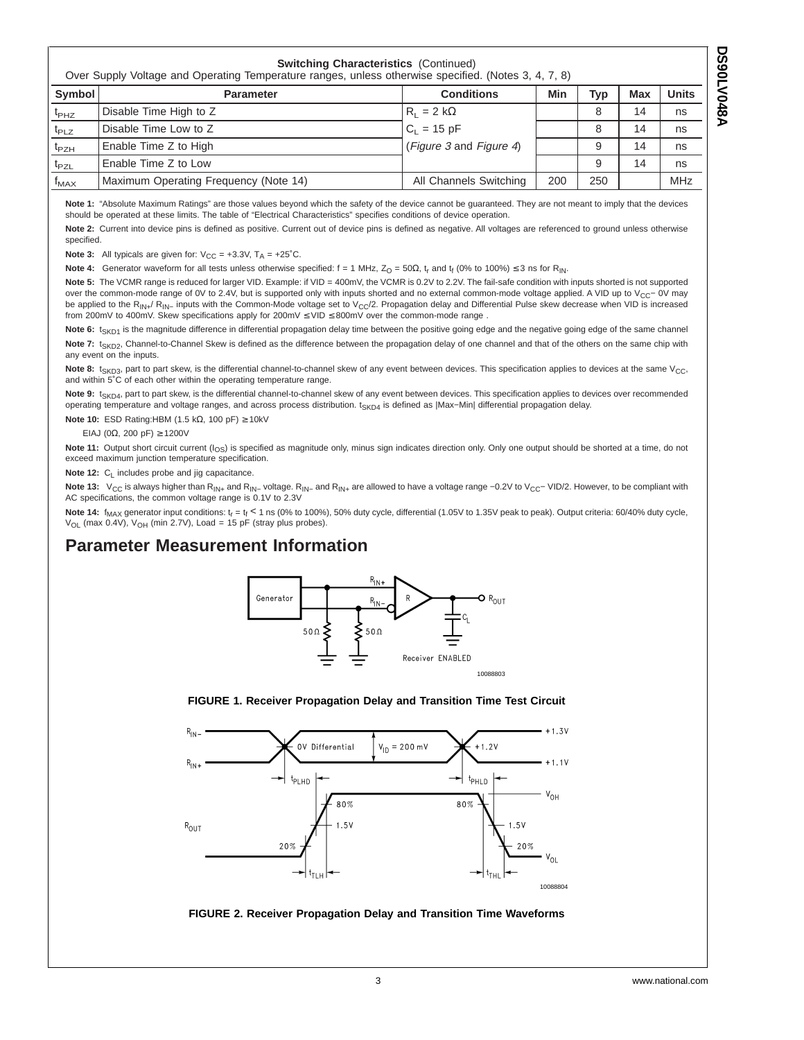<span id="page-2-0"></span>

| <b>Switching Characteristics (Continued)</b><br>Over Supply Voltage and Operating Temperature ranges, unless otherwise specified. (Notes 3, 4, 7, 8) |                                                                                   |                         |     |     |    |            |
|------------------------------------------------------------------------------------------------------------------------------------------------------|-----------------------------------------------------------------------------------|-------------------------|-----|-----|----|------------|
| Symbol                                                                                                                                               | <b>Units</b><br>Min<br><b>Max</b><br><b>Conditions</b><br>Typ<br><b>Parameter</b> |                         |     |     |    |            |
| $t_{PHZ}$                                                                                                                                            | Disable Time High to Z                                                            | $R_1 = 2 k\Omega$       |     | 8   | 14 | ns         |
| $t_{PLZ}$                                                                                                                                            | Disable Time Low to Z                                                             | $C_1 = 15 pF$           |     | 8   | 14 | ns         |
| $t_{PZH}$                                                                                                                                            | Enable Time Z to High                                                             | (Figure 3 and Figure 4) |     | 9   | 14 | ns         |
| $t_{PZL}$                                                                                                                                            | Enable Time Z to Low                                                              |                         |     | 9   | 14 | ns         |
| $f_{MAX}$                                                                                                                                            | Maximum Operating Frequency (Note 14)                                             | All Channels Switching  | 200 | 250 |    | <b>MHz</b> |

**Note 1:** "Absolute Maximum Ratings" are those values beyond which the safety of the device cannot be guaranteed. They are not meant to imply that the devices should be operated at these limits. The table of "Electrical Characteristics" specifies conditions of device operation.

Note 2: Current into device pins is defined as positive. Current out of device pins is defined as negative. All voltages are referenced to ground unless otherwise specified.

**Note 3:** All typicals are given for:  $V_{CC} = +3.3V$ ,  $T_A = +25^{\circ}C$ .

**Note 4:** Generator waveform for all tests unless otherwise specified:  $f = 1$  MHz,  $Z_0 = 50\Omega$ ,  $t_r$  and  $t_f$  (0% to 100%)  $\leq$  3 ns for R<sub>IN</sub>.

**Note 5:** The VCMR range is reduced for larger VID. Example: if VID = 400mV, the VCMR is 0.2V to 2.2V. The fail-safe condition with inputs shorted is not supported over the common-mode range of 0V to 2.4V, but is supported only with inputs shorted and no external common-mode voltage applied. A VID up to V<sub>CC</sub>− 0V may be applied to the R<sub>IN+</sub>/ R<sub>IN</sub>- inputs with the Common-Mode voltage set to V<sub>CC</sub>/2. Propagation delay and Differential Pulse skew decrease when VID is increased from 200mV to 400mV. Skew specifications apply for 200mV ≤ VID ≤ 800mV over the common-mode range .

Note 6: t<sub>SKD1</sub> is the magnitude difference in differential propagation delay time between the positive going edge and the negative going edge of the same channel Note 7: t<sub>SKD2</sub>, Channel-to-Channel Skew is defined as the difference between the propagation delay of one channel and that of the others on the same chip with any event on the inputs.

Note 8: t<sub>SKD3</sub>, part to part skew, is the differential channel-to-channel skew of any event between devices. This specification applies to devices at the same V<sub>CC</sub>, and within 5˚C of each other within the operating temperature range.

Note 9: t<sub>SKD4</sub>, part to part skew, is the differential channel-to-channel skew of any event between devices. This specification applies to devices over recommended operating temperature and voltage ranges, and across process distribution. t<sub>SKD4</sub> is defined as |Max-Min| differential propagation delay.

**Note 10:** ESD Rating:HBM (1.5 kΩ, 100 pF) ≥ 10kV

EIAJ (0Ω, 200 pF) ≥ 1200V

Note 11: Output short circuit current (I<sub>OS</sub>) is specified as magnitude only, minus sign indicates direction only. Only one output should be shorted at a time, do not exceed maximum junction temperature specification.

**Note 12:** C<sub>L</sub> includes probe and jig capacitance.

Note 13: V<sub>CC</sub> is always higher than R<sub>IN+</sub> and R<sub>IN−</sub> voltage. R<sub>IN−</sub> and R<sub>IN+</sub> are allowed to have a voltage range -0.2V to V<sub>CC</sub>- VID/2. However, to be compliant with AC specifications, the common voltage range is 0.1V to 2.3V

Note 14:  $f_{MAX}$  generator input conditions:  $t_r = t_f < 1$  ns (0% to 100%), 50% duty cycle, differential (1.05V to 1.35V peak to peak). Output criteria: 60/40% duty cycle,  $V_{OL}$  (max 0.4V),  $V_{OH}$  (min 2.7V), Load = 15 pF (stray plus probes).

## **Parameter Measurement Information**



#### **FIGURE 1. Receiver Propagation Delay and Transition Time Test Circuit**



#### **FIGURE 2. Receiver Propagation Delay and Transition Time Waveforms**

**DS90LV048A**

**DS90LV048A**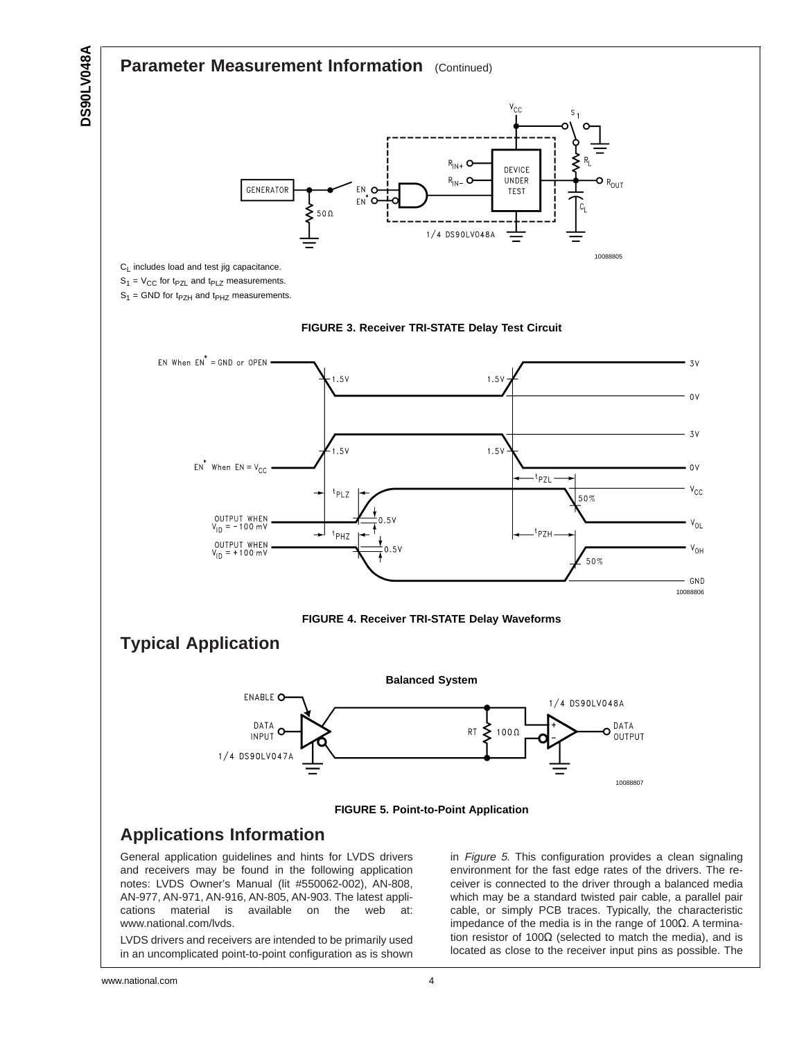<span id="page-3-0"></span>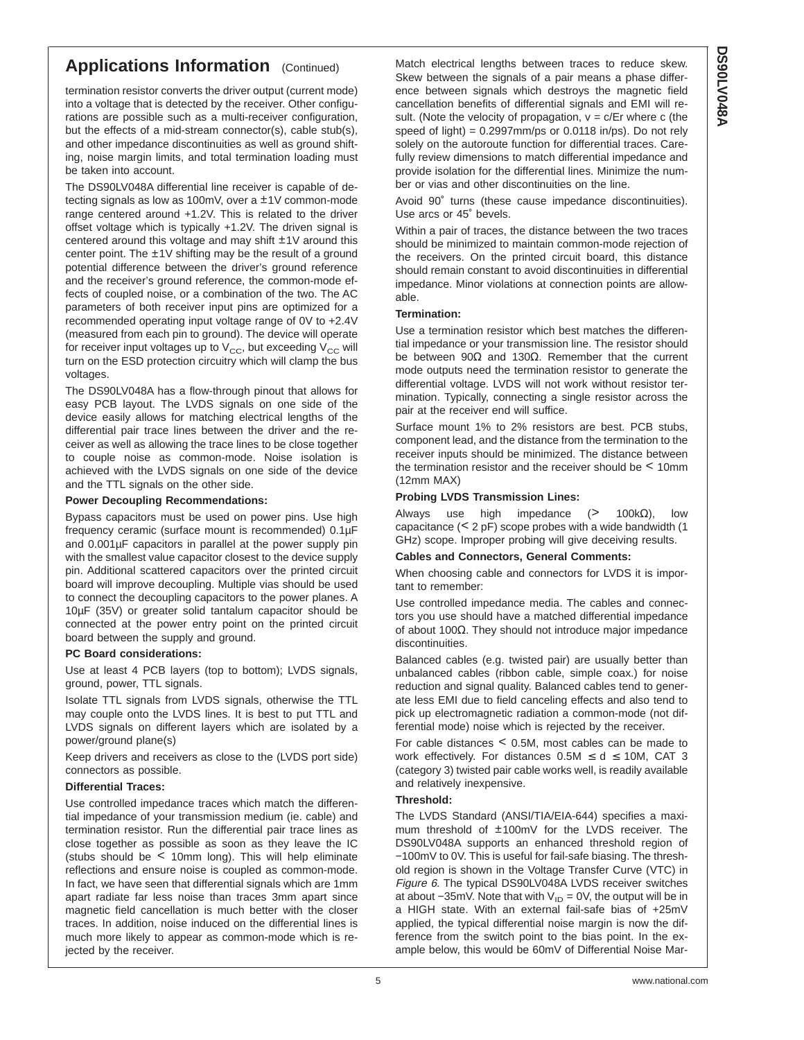# **Applications Information** (Continued)

termination resistor converts the driver output (current mode) into a voltage that is detected by the receiver. Other configurations are possible such as a multi-receiver configuration, but the effects of a mid-stream connector(s), cable stub(s), and other impedance discontinuities as well as ground shifting, noise margin limits, and total termination loading must be taken into account.

The DS90LV048A differential line receiver is capable of detecting signals as low as 100mV, over a ±1V common-mode range centered around +1.2V. This is related to the driver offset voltage which is typically +1.2V. The driven signal is centered around this voltage and may shift  $\pm 1$ V around this center point. The ±1V shifting may be the result of a ground potential difference between the driver's ground reference and the receiver's ground reference, the common-mode effects of coupled noise, or a combination of the two. The AC parameters of both receiver input pins are optimized for a recommended operating input voltage range of 0V to +2.4V (measured from each pin to ground). The device will operate for receiver input voltages up to  $V_{CC}$ , but exceeding  $V_{CC}$  will turn on the ESD protection circuitry which will clamp the bus voltages.

The DS90LV048A has a flow-through pinout that allows for easy PCB layout. The LVDS signals on one side of the device easily allows for matching electrical lengths of the differential pair trace lines between the driver and the receiver as well as allowing the trace lines to be close together to couple noise as common-mode. Noise isolation is achieved with the LVDS signals on one side of the device and the TTL signals on the other side.

#### **Power Decoupling Recommendations:**

Bypass capacitors must be used on power pins. Use high frequency ceramic (surface mount is recommended) 0.1µF and 0.001µF capacitors in parallel at the power supply pin with the smallest value capacitor closest to the device supply pin. Additional scattered capacitors over the printed circuit board will improve decoupling. Multiple vias should be used to connect the decoupling capacitors to the power planes. A 10µF (35V) or greater solid tantalum capacitor should be connected at the power entry point on the printed circuit board between the supply and ground.

#### **PC Board considerations:**

Use at least 4 PCB layers (top to bottom); LVDS signals, ground, power, TTL signals.

Isolate TTL signals from LVDS signals, otherwise the TTL may couple onto the LVDS lines. It is best to put TTL and LVDS signals on different layers which are isolated by a power/ground plane(s)

Keep drivers and receivers as close to the (LVDS port side) connectors as possible.

#### **Differential Traces:**

Use controlled impedance traces which match the differential impedance of your transmission medium (ie. cable) and termination resistor. Run the differential pair trace lines as close together as possible as soon as they leave the IC (stubs should be < 10mm long). This will help eliminate reflections and ensure noise is coupled as common-mode. In fact, we have seen that differential signals which are 1mm apart radiate far less noise than traces 3mm apart since magnetic field cancellation is much better with the closer traces. In addition, noise induced on the differential lines is much more likely to appear as common-mode which is rejected by the receiver.

Match electrical lengths between traces to reduce skew. Skew between the signals of a pair means a phase difference between signals which destroys the magnetic field cancellation benefits of differential signals and EMI will result. (Note the velocity of propagation,  $v = c/Er$  where c (the speed of light) =  $0.2997$ mm/ps or  $0.0118$  in/ps). Do not rely solely on the autoroute function for differential traces. Carefully review dimensions to match differential impedance and provide isolation for the differential lines. Minimize the number or vias and other discontinuities on the line.

Avoid 90˚ turns (these cause impedance discontinuities). Use arcs or 45˚ bevels.

Within a pair of traces, the distance between the two traces should be minimized to maintain common-mode rejection of the receivers. On the printed circuit board, this distance should remain constant to avoid discontinuities in differential impedance. Minor violations at connection points are allowable.

#### **Termination:**

Use a termination resistor which best matches the differential impedance or your transmission line. The resistor should be between 90Ω and 130Ω. Remember that the current mode outputs need the termination resistor to generate the differential voltage. LVDS will not work without resistor termination. Typically, connecting a single resistor across the pair at the receiver end will suffice.

Surface mount 1% to 2% resistors are best. PCB stubs, component lead, and the distance from the termination to the receiver inputs should be minimized. The distance between the termination resistor and the receiver should be < 10mm (12mm MAX)

#### **Probing LVDS Transmission Lines:**

Always use high impedance (> 100k $\Omega$ ), low capacitance (< 2 pF) scope probes with a wide bandwidth (1 GHz) scope. Improper probing will give deceiving results.

#### **Cables and Connectors, General Comments:**

When choosing cable and connectors for LVDS it is important to remember:

Use controlled impedance media. The cables and connectors you use should have a matched differential impedance of about 100Ω. They should not introduce major impedance discontinuities.

Balanced cables (e.g. twisted pair) are usually better than unbalanced cables (ribbon cable, simple coax.) for noise reduction and signal quality. Balanced cables tend to generate less EMI due to field canceling effects and also tend to pick up electromagnetic radiation a common-mode (not differential mode) noise which is rejected by the receiver.

For cable distances < 0.5M, most cables can be made to work effectively. For distances  $0.5M \le d \le 10M$ , CAT 3 (category 3) twisted pair cable works well, is readily available and relatively inexpensive.

#### **Threshold:**

The LVDS Standard (ANSI/TIA/EIA-644) specifies a maximum threshold of ±100mV for the LVDS receiver. The DS90LV048A supports an enhanced threshold region of −100mV to 0V. This is useful for fail-safe biasing. The threshold region is shown in the Voltage Transfer Curve (VTC) in [Figure](#page-5-0) 6. The typical DS90LV048A LVDS receiver switches at about  $-35$ mV. Note that with V<sub>ID</sub> = 0V, the output will be in a HIGH state. With an external fail-safe bias of +25mV applied, the typical differential noise margin is now the difference from the switch point to the bias point. In the example below, this would be 60mV of Differential Noise Mar-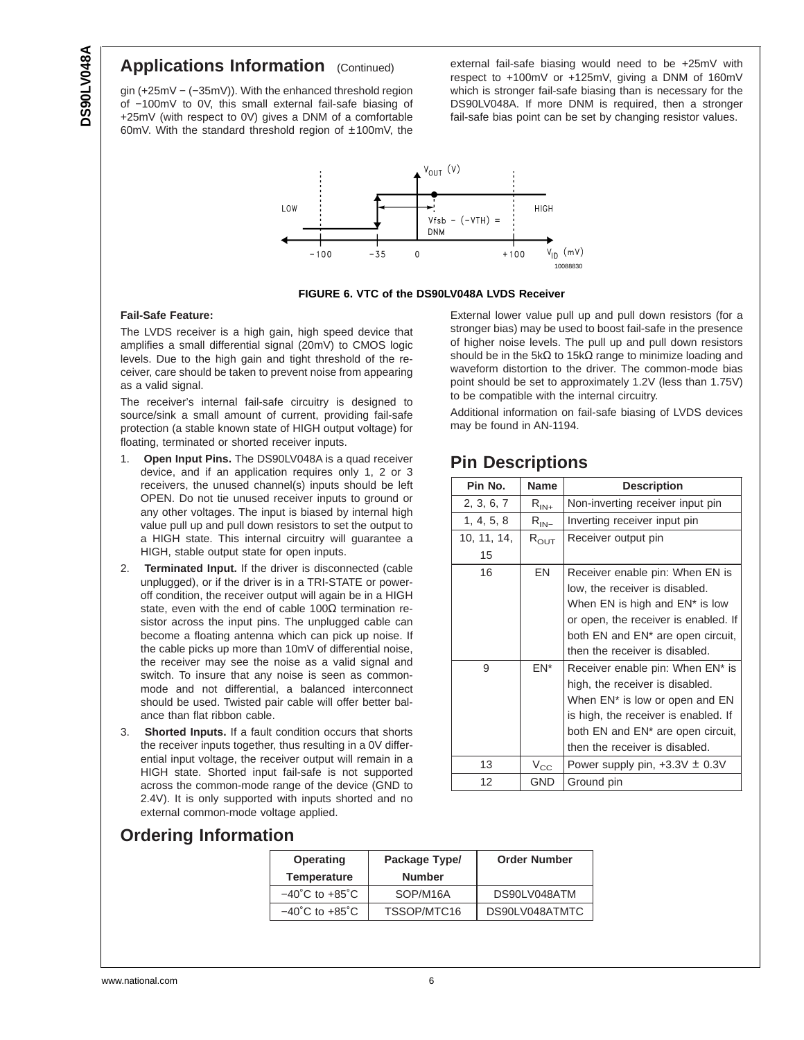# <span id="page-5-0"></span>**Applications Information** (Continued)

gin (+25mV − (−35mV)). With the enhanced threshold region of −100mV to 0V, this small external fail-safe biasing of +25mV (with respect to 0V) gives a DNM of a comfortable 60mV. With the standard threshold region of ±100mV, the external fail-safe biasing would need to be +25mV with respect to +100mV or +125mV, giving a DNM of 160mV which is stronger fail-safe biasing than is necessary for the DS90LV048A. If more DNM is required, then a stronger fail-safe bias point can be set by changing resistor values.



**FIGURE 6. VTC of the DS90LV048A LVDS Receiver**

#### **Fail-Safe Feature:**

The LVDS receiver is a high gain, high speed device that amplifies a small differential signal (20mV) to CMOS logic levels. Due to the high gain and tight threshold of the receiver, care should be taken to prevent noise from appearing as a valid signal.

The receiver's internal fail-safe circuitry is designed to source/sink a small amount of current, providing fail-safe protection (a stable known state of HIGH output voltage) for floating, terminated or shorted receiver inputs.

- 1. **Open Input Pins.** The DS90LV048A is a quad receiver device, and if an application requires only 1, 2 or 3 receivers, the unused channel(s) inputs should be left OPEN. Do not tie unused receiver inputs to ground or any other voltages. The input is biased by internal high value pull up and pull down resistors to set the output to a HIGH state. This internal circuitry will guarantee a HIGH, stable output state for open inputs.
- 2. **Terminated Input.** If the driver is disconnected (cable unplugged), or if the driver is in a TRI-STATE or poweroff condition, the receiver output will again be in a HIGH state, even with the end of cable 100 $\Omega$  termination resistor across the input pins. The unplugged cable can become a floating antenna which can pick up noise. If the cable picks up more than 10mV of differential noise, the receiver may see the noise as a valid signal and switch. To insure that any noise is seen as commonmode and not differential, a balanced interconnect should be used. Twisted pair cable will offer better balance than flat ribbon cable.
- 3. **Shorted Inputs.** If a fault condition occurs that shorts the receiver inputs together, thus resulting in a 0V differential input voltage, the receiver output will remain in a HIGH state. Shorted input fail-safe is not supported across the common-mode range of the device (GND to 2.4V). It is only supported with inputs shorted and no external common-mode voltage applied.

External lower value pull up and pull down resistors (for a stronger bias) may be used to boost fail-safe in the presence of higher noise levels. The pull up and pull down resistors should be in the 5k $\Omega$  to 15k $\Omega$  range to minimize loading and waveform distortion to the driver. The common-mode bias point should be set to approximately 1.2V (less than 1.75V) to be compatible with the internal circuitry.

Additional information on fail-safe biasing of LVDS devices may be found in AN-1194.

# **Pin Descriptions**

| Pin No.     | <b>Name</b>   | <b>Description</b>                            |
|-------------|---------------|-----------------------------------------------|
| 2, 3, 6, 7  | $R_{IN+}$     | Non-inverting receiver input pin              |
| 1, 4, 5, 8  | $R_{IN-}$     | Inverting receiver input pin                  |
| 10, 11, 14, | $R_{\rm OUT}$ | Receiver output pin                           |
| 15          |               |                                               |
| 16          | EN            | Receiver enable pin: When EN is               |
|             |               | low, the receiver is disabled.                |
|             |               | When EN is high and EN* is low                |
|             |               | or open, the receiver is enabled. If          |
|             |               | both EN and EN <sup>*</sup> are open circuit, |
|             |               | then the receiver is disabled.                |
| 9           | $EN^*$        | Receiver enable pin: When EN* is              |
|             |               | high, the receiver is disabled.               |
|             |               | When EN <sup>*</sup> is low or open and EN    |
|             |               | is high, the receiver is enabled. If          |
|             |               | both EN and EN* are open circuit,             |
|             |               | then the receiver is disabled.                |
| 13          | $V_{\rm CC}$  | Power supply pin, $+3.3V \pm 0.3V$            |
| 12          | GND           | Ground pin                                    |

# **Ordering Information**

| <b>Operating</b>                   | Package Type/ | <b>Order Number</b> |
|------------------------------------|---------------|---------------------|
| <b>Temperature</b>                 | <b>Number</b> |                     |
| $-40^{\circ}$ C to $+85^{\circ}$ C | SOP/M16A      | DS90LV048ATM        |
| $-40^{\circ}$ C to $+85^{\circ}$ C | TSSOP/MTC16   | DS90LV048ATMTC      |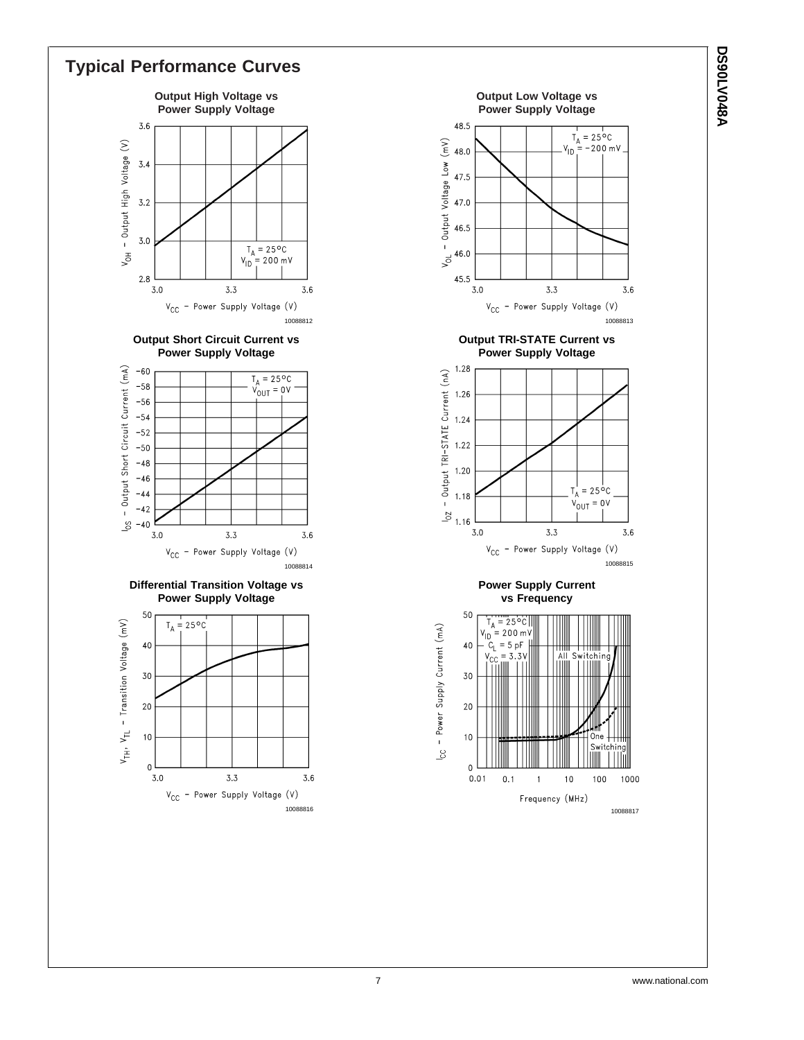

# **A840VJ0620 DS90LV048A**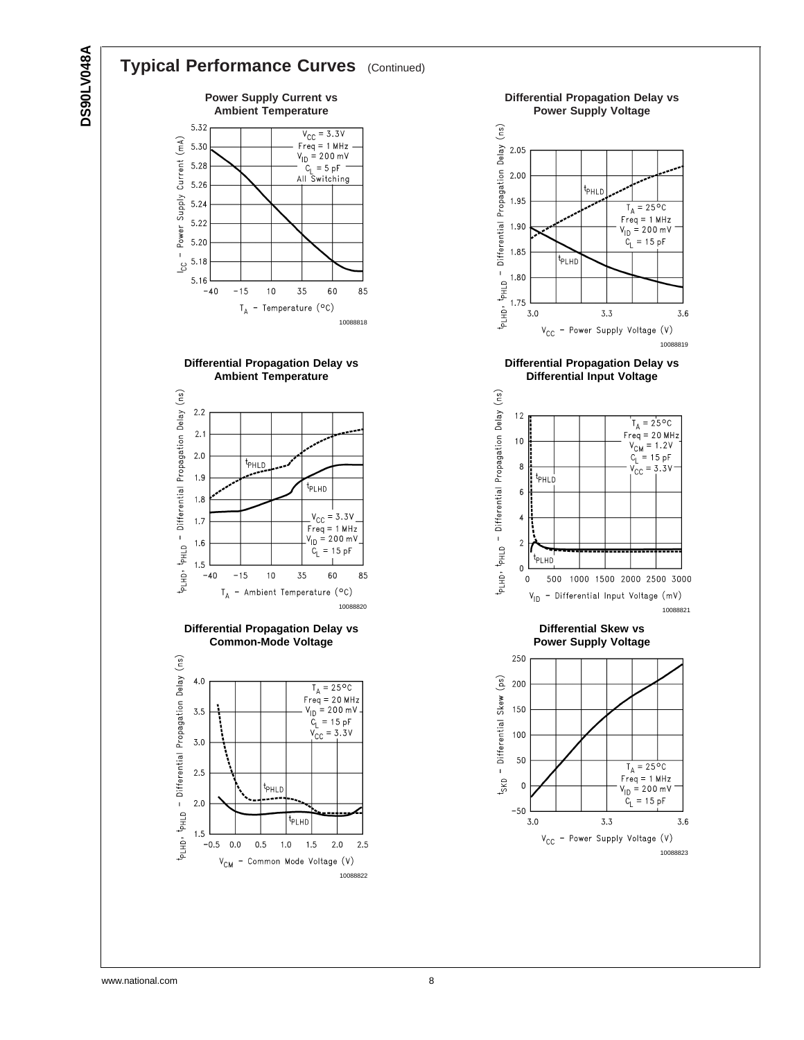# **DS90LV048A DS90LV048A**

# **Typical Performance Curves** (Continued)



**Differential Propagation Delay vs Ambient Temperature**



**Differential Propagation Delay vs Common-Mode Voltage**



**Differential Propagation Delay vs Power Supply Voltage** p<sub>LHD</sub>, p<sub>HLD</sub> - Differential Propagation Delay (ns) 2.05 2.00 t<sub>PHLD</sub> 1.95  $T_A = 25^{\circ}C$  $Freq = 1 MHz$  $V_{1D} = 200 \text{ mV}$ 1.90  $C_1 = 15 pF$ 1.85 t<sub>PLHD</sub> 1.80 1.75  $3.3$  $3.0$ 3.6  $V_{CC}$  - Power Supply Voltage  $(V)$ 10088819 **Differential Propagation Delay vs Differential Input Voltage** PLHD, PHLD - Differential Propagation Delay (ns)  $12$  $T_A = 25^{\circ}C$  $Freq = 20 MHz$  $10$ req – 20 MH<br>V<sub>CM</sub> = 1.2V  $C_1 = 15 pF$  $V_{\text{CC}} = 3.3V$  $\bf8$ <sup>t</sup>РНLD  $\boldsymbol{6}$ 



500 1000 1500 2000 2500 3000

 $\overline{4}$ 

 $\sqrt{2}$ 

0

 $\pmb{0}$ 

t<sub>PLHD</sub>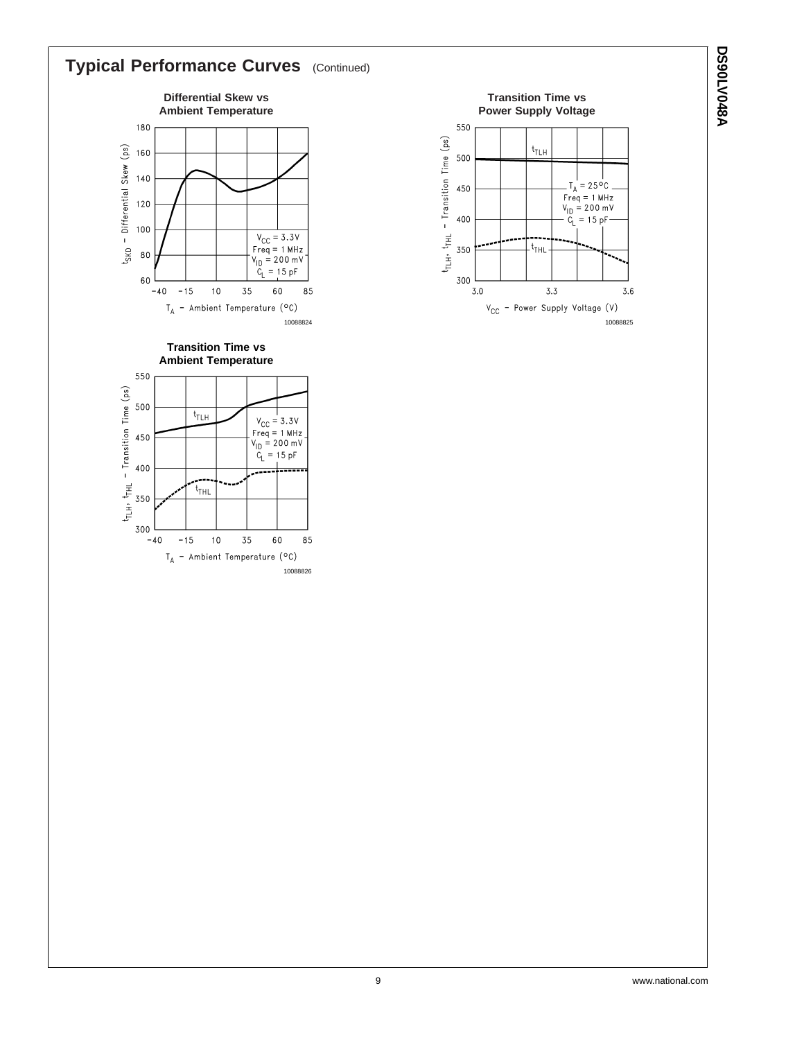

**DS90LV048A**

**A840V10620**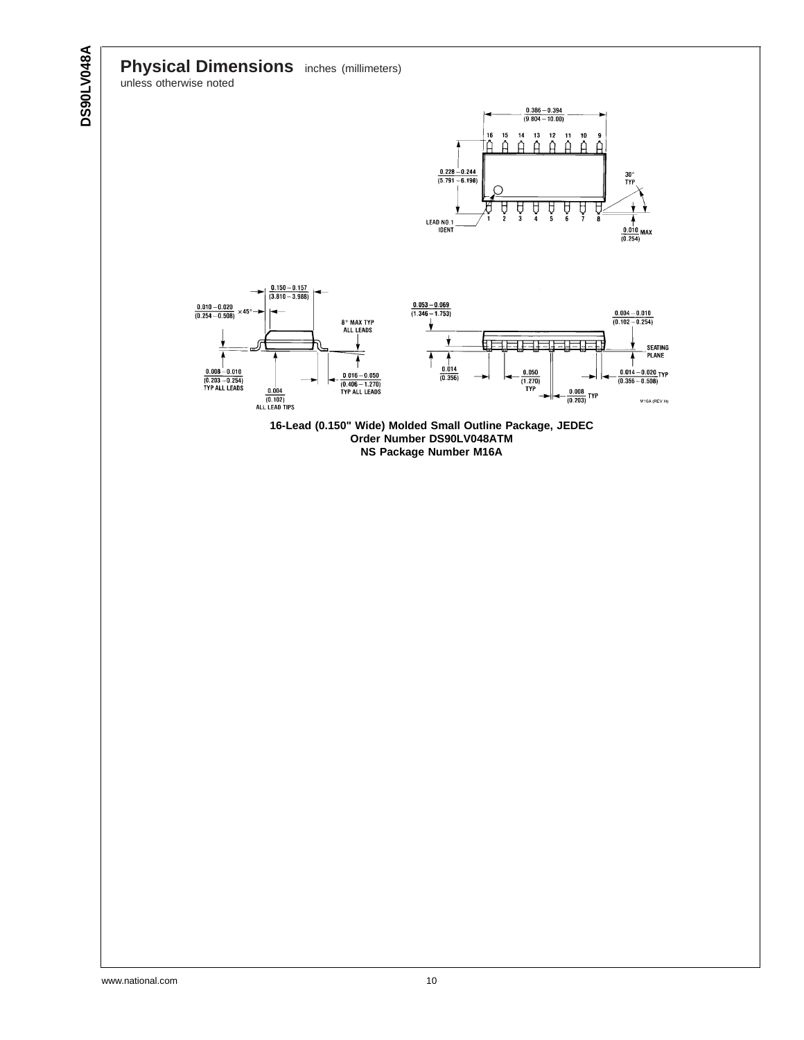